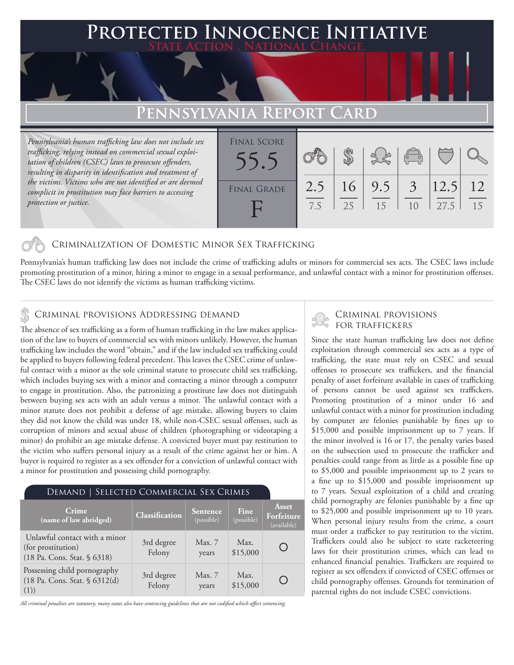### **PTED INNOCENCE INITIATIVE State Action . National Change.**

## **Pennsylvania Report Card**

*Pennsylvania's human trafficking law does not include sex trafficking, relying instead on commercial sexual exploitation of children (CSEC) laws to prosecute offenders, resulting in disparity in identification and treatment of the victims. Victims who are not identified or are deemed complicit in prostitution may face barriers to accessing protection or justice.*

| <b>FINAL SCORE</b> |     |    |     | $\begin{pmatrix} 0 & 0 \\ 0 & 0 \end{pmatrix}$ |      |    |
|--------------------|-----|----|-----|------------------------------------------------|------|----|
| <b>FINAL GRADE</b> | 2.5 | 16 | 9.5 | $\frac{1}{3}$                                  | 12.5 | 12 |
|                    | 7.5 | 25 | 15  | 1 <sub>0</sub>                                 | 27.5 | 15 |

#### Criminalization of Domestic Minor Sex Trafficking

Pennsylvania's human trafficking law does not include the crime of trafficking adults or minors for commercial sex acts. The CSEC laws include promoting prostitution of a minor, hiring a minor to engage in a sexual performance, and unlawful contact with a minor for prostitution offenses. The CSEC laws do not identify the victims as human trafficking victims.

#### CRIMINAL PROVISIONS ADDRESSING DEMAND

The absence of sex trafficking as a form of human trafficking in the law makes application of the law to buyers of commercial sex with minors unlikely. However, the human trafficking law includes the word "obtain," and if the law included sex trafficking could be applied to buyers following federal precedent. This leaves the CSEC crime of unlawful contact with a minor as the sole criminal statute to prosecute child sex trafficking, which includes buying sex with a minor and contacting a minor through a computer to engage in prostitution. Also, the patronizing a prostitute law does not distinguish between buying sex acts with an adult versus a minor. The unlawful contact with a minor statute does not prohibit a defense of age mistake, allowing buyers to claim they did not know the child was under 18, while non-CSEC sexual offenses, such as corruption of minors and sexual abuse of children (photographing or videotaping a minor) do prohibit an age mistake defense. A convicted buyer must pay restitution to the victim who suffers personal injury as a result of the crime against her or him. A buyer is required to register as a sex offender for a conviction of unlawful contact with a minor for prostitution and possessing child pornography.

### Demand | Selected Commercial Sex Crimes

| Crime<br>(name of law abridged)                                                    | Classification       | Sentence<br>(possible) | Fine<br>(possible) | <b>Asset</b><br>Forfeiture<br>(available) |
|------------------------------------------------------------------------------------|----------------------|------------------------|--------------------|-------------------------------------------|
| Unlawful contact with a minor<br>(for prostitution)<br>(18 Pa. Cons. Stat. § 6318) | 3rd degree<br>Felony | Max. 7<br>years        | Max.<br>\$15,000   |                                           |
| Possessing child pornography<br>(18 Pa. Cons. Stat. § 6312(d)<br>(1))              | 3rd degree<br>Felony | Max. 7<br>years        | Max.<br>\$15,000   |                                           |

*All criminal penalties are statutory; many states also have sentencing guidelines that are not codified which affect sentencing.* 

# Criminal provisions

Since the state human trafficking law does not define exploitation through commercial sex acts as a type of trafficking, the state must rely on CSEC and sexual offenses to prosecute sex traffickers, and the financial penalty of asset forfeiture available in cases of trafficking of persons cannot be used against sex traffickers. Promoting prostitution of a minor under 16 and unlawful contact with a minor for prostitution including by computer are felonies punishable by fines up to \$15,000 and possible imprisonment up to 7 years. If the minor involved is 16 or 17, the penalty varies based on the subsection used to prosecute the trafficker and penalties could range from as little as a possible fine up to \$5,000 and possible imprisonment up to 2 years to a fine up to \$15,000 and possible imprisonment up to 7 years. Sexual exploitation of a child and creating child pornography are felonies punishable by a fine up to \$25,000 and possible imprisonment up to 10 years. When personal injury results from the crime, a court must order a trafficker to pay restitution to the victim. Traffickers could also be subject to state racketeering laws for their prostitution crimes, which can lead to enhanced financial penalties. Traffickers are required to register as sex offenders if convicted of CSEC offenses or child pornography offenses. Grounds for termination of parental rights do not include CSEC convictions.